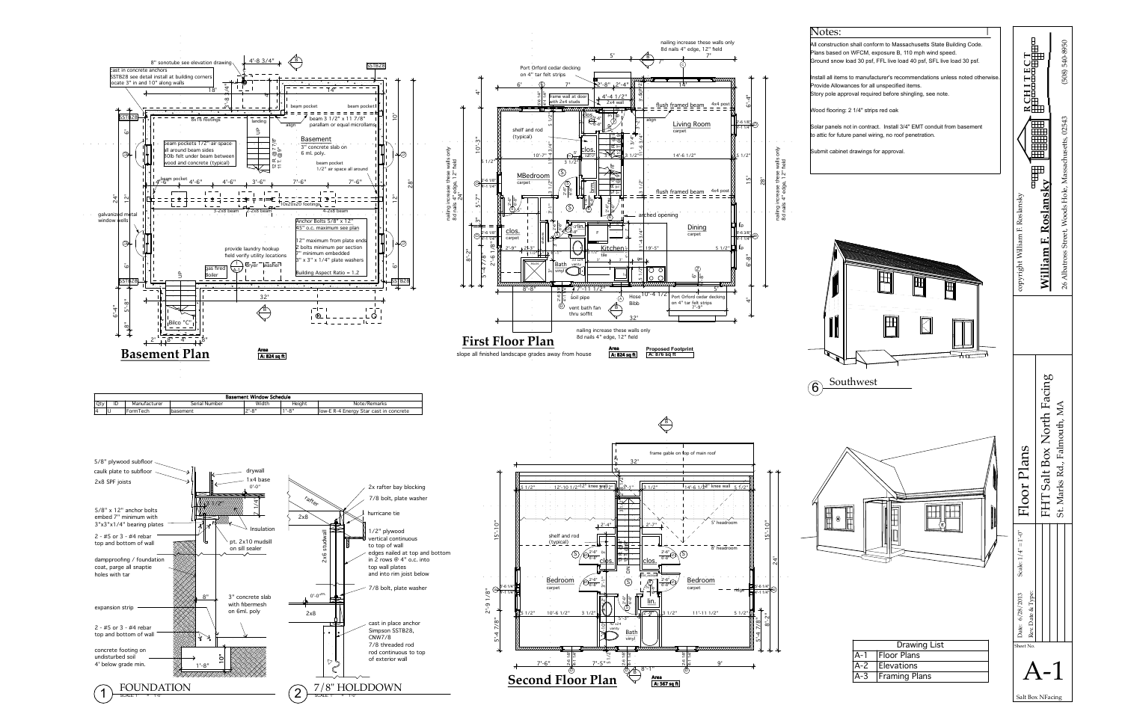



Salt Box NFacing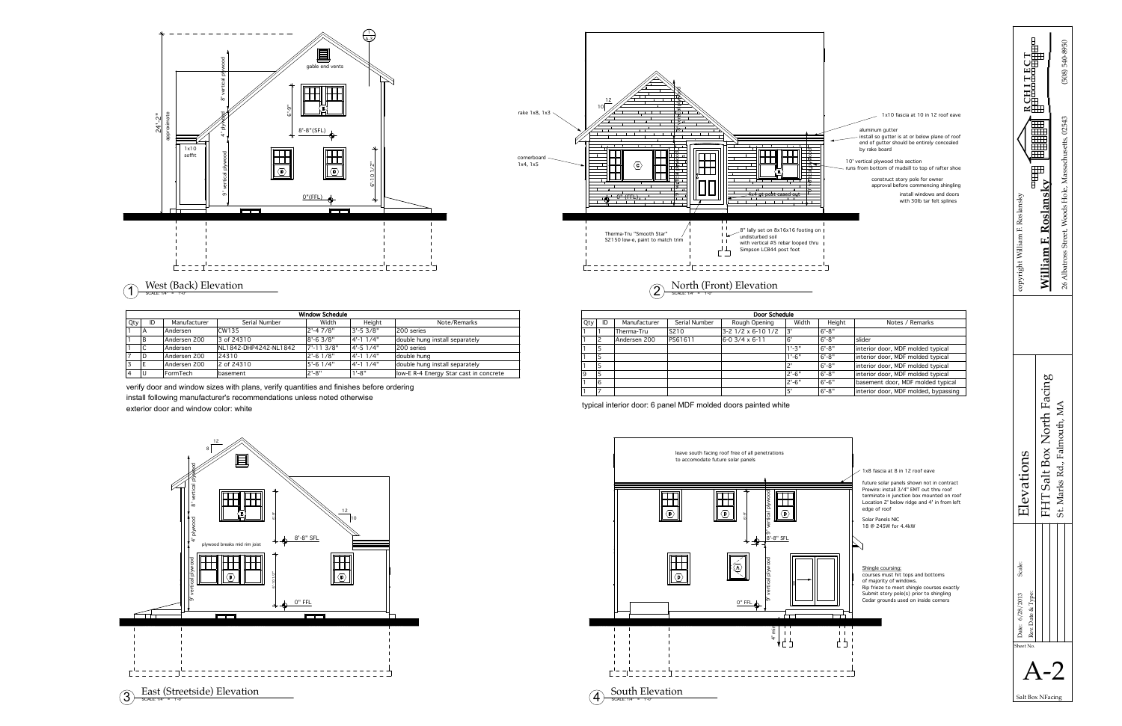



construct story pole for owner approval before commencing shingling install windows and doors with 30lb tar felt splines

aluminum gutter install so gutter is at or below plane of roof end of gutter should be entirely concealed by rake board 1x10 fascia at 10 in 12 roof eave 10' vertical plywood this section

runs from bottom of mudsill to top of rafter shoe

verify door and window sizes with plans, verify quantities and finishes before ordering install following manufacturer's recommendations unless noted otherwise exterior door and window color: white typical interior door: 6 panel MDF molded doors painted white typical interior door: 6 panel MDF molded doors painted white





| Door Schedule |    |              |                   |                    |            |        |                                      |  |
|---------------|----|--------------|-------------------|--------------------|------------|--------|--------------------------------------|--|
| Qty           | ID | Manufacturer | Serial Number     | Rough Opening      | Width      | Height | Notes / Remarks                      |  |
|               |    | Therma-Tru   | S <sub>2</sub> 10 | 3-2 1/2 x 6-10 1/2 | l3'        | l6'-8" |                                      |  |
|               |    | Andersen 200 | PS61611           | l6-0 3/4 x 6-11    | .6'        | l6'-8" | slider                               |  |
|               | l5 |              |                   |                    | $1' - 3"$  | l6'-8" | interior door, MDF molded typical    |  |
|               | .5 |              |                   |                    | $1' - 6''$ | l6'-8" | interior door, MDF molded typical    |  |
|               | :5 |              |                   |                    | י          | l6'-8" | interior door, MDF molded typical    |  |
| 9             | 15 |              |                   |                    | $2'-6''$   | l6'-8" | interior door, MDF molded typical    |  |
|               | 16 |              |                   |                    | 2'-6"      | l6'-6" | basement door, MDF molded typical    |  |
|               | 17 |              |                   |                    | 5'         | l6'-8" | interior door, MDF molded, bypassing |  |



| <b>Window Schedule</b> |    |              |                       |              |                 |                                        |  |  |  |  |
|------------------------|----|--------------|-----------------------|--------------|-----------------|----------------------------------------|--|--|--|--|
| Qty                    | ID | Manufacturer | Serial Number         | Width        | Height          | Note/Remarks                           |  |  |  |  |
|                        | IΑ | Andersen     | CW135                 | $2' - 47/8"$ | $3'-5.3/8"$     | 200 series                             |  |  |  |  |
|                        | ΙB | Andersen 200 | 3 of 24310            | $8' - 63/8"$ | 4'-1 1/4"       | double hung install separately         |  |  |  |  |
|                        |    | Andersen     | NL1842-DHP4242-NL1842 | 7'-11 3/8"   | $4' - 51/4"$    | 200 series                             |  |  |  |  |
|                        | ID | Andersen 200 | 24310                 | 2'-6 1/8"    | $4' - 1$ $1/4"$ | double hung                            |  |  |  |  |
| 3                      |    | Andersen 200 | 2 of 24310            | 5'-6 1/4"    | $4' - 1$ $1/4"$ | double hung install separately         |  |  |  |  |
| i 4                    | IU | FormTech     | basement              | 2'-8"        | $1' - 8''$      | low-E R-4 Energy Star cast in concrete |  |  |  |  |